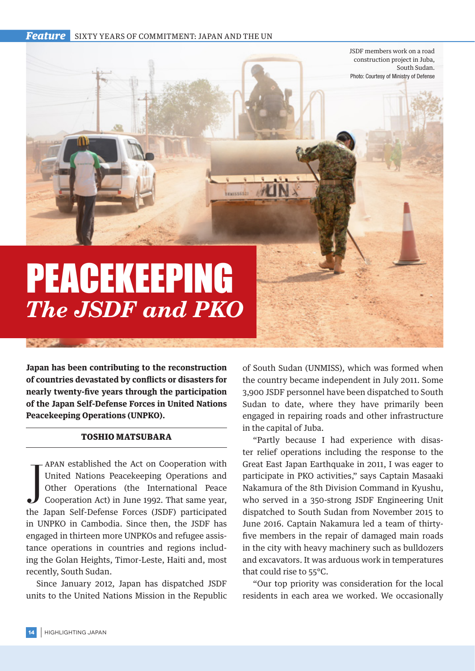**Feature** SIXTY YEARS OF COMMITMENT: JAPAN AND THE UN

**NEWISS6521** 

PEACEKEEPING *The JSDF and PKO*

**Japan has been contributing to the reconstruction of countries devastated by conflicts or disasters for nearly twenty-five years through the participation of the Japan Self-Defense Forces in United Nations Peacekeeping Operations (UNPKO).**

## TOSHIO MATSUBARA

The Japan Setablished the Act on Cooperation with<br>United Nations Peacekeeping Operations and<br>Other Operations (the International Peace<br>Cooperation Act) in June 1992. That same year,<br>the Japan Self-Defense Forces (JSDF) par apan established the Act on Cooperation with United Nations Peacekeeping Operations and Other Operations (the International Peace Cooperation Act) in June 1992. That same year, in UNPKO in Cambodia. Since then, the JSDF has engaged in thirteen more UNPKOs and refugee assistance operations in countries and regions including the Golan Heights, Timor-Leste, Haiti and, most recently, South Sudan.

Since January 2012, Japan has dispatched JSDF units to the United Nations Mission in the Republic of South Sudan (UNMISS), which was formed when the country became independent in July 2011. Some 3,900 JSDF personnel have been dispatched to South Sudan to date, where they have primarily been engaged in repairing roads and other infrastructure in the capital of Juba.

JSDF members work on a road construction project in Juba,

Photo: Courtesy of Ministry of Defense

South Sudan.

"Partly because I had experience with disaster relief operations including the response to the Great East Japan Earthquake in 2011, I was eager to participate in PKO activities," says Captain Masaaki Nakamura of the 8th Division Command in Kyushu, who served in a 350-strong JSDF Engineering Unit dispatched to South Sudan from November 2015 to June 2016. Captain Nakamura led a team of thirtyfive members in the repair of damaged main roads in the city with heavy machinery such as bulldozers and excavators. It was arduous work in temperatures that could rise to 55°C.

"Our top priority was consideration for the local residents in each area we worked. We occasionally